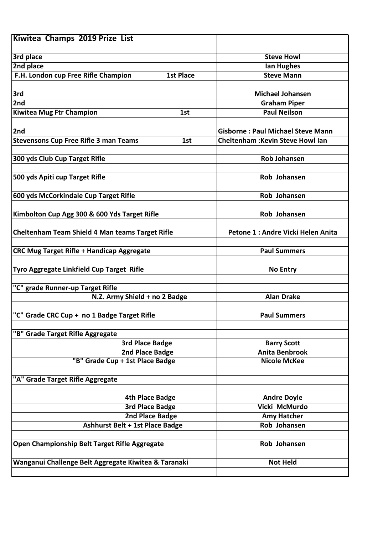| Kiwitea Champs 2019 Prize List                          |                                             |
|---------------------------------------------------------|---------------------------------------------|
|                                                         |                                             |
| 3rd place                                               | <b>Steve Howl</b>                           |
| 2nd place                                               | <b>Ian Hughes</b>                           |
| F.H. London cup Free Rifle Champion<br><b>1st Place</b> | <b>Steve Mann</b>                           |
|                                                         |                                             |
| 3rd                                                     | <b>Michael Johansen</b>                     |
| 2nd                                                     | <b>Graham Piper</b>                         |
| <b>Kiwitea Mug Ftr Champion</b><br>1st                  | <b>Paul Neilson</b>                         |
|                                                         |                                             |
| 2nd                                                     | <b>Gisborne: Paul Michael Steve Mann</b>    |
| <b>Stevensons Cup Free Rifle 3 man Teams</b><br>1st     | <b>Cheltenham: Kevin Steve Howl lan</b>     |
|                                                         |                                             |
| 300 yds Club Cup Target Rifle                           | <b>Rob Johansen</b>                         |
|                                                         |                                             |
| 500 yds Apiti cup Target Rifle                          | Rob Johansen                                |
|                                                         |                                             |
| 600 yds McCorkindale Cup Target Rifle                   | Rob Johansen                                |
|                                                         |                                             |
| Kimbolton Cup Agg 300 & 600 Yds Target Rifle            | Rob Johansen                                |
|                                                         |                                             |
| <b>Cheltenham Team Shield 4 Man teams Target Rifle</b>  | Petone 1 : Andre Vicki Helen Anita          |
|                                                         |                                             |
| <b>CRC Mug Target Rifle + Handicap Aggregate</b>        | <b>Paul Summers</b>                         |
|                                                         |                                             |
| Tyro Aggregate Linkfield Cup Target Rifle               | <b>No Entry</b>                             |
|                                                         |                                             |
| "C" grade Runner-up Target Rifle                        |                                             |
| N.Z. Army Shield + no 2 Badge                           | <b>Alan Drake</b>                           |
|                                                         |                                             |
| "C" Grade CRC Cup + no 1 Badge Target Rifle             | <b>Paul Summers</b>                         |
|                                                         |                                             |
| "B" Grade Target Rifle Aggregate                        |                                             |
| <b>3rd Place Badge</b>                                  | <b>Barry Scott</b><br><b>Anita Benbrook</b> |
| 2nd Place Badge<br>"B" Grade Cup + 1st Place Badge      | <b>Nicole McKee</b>                         |
|                                                         |                                             |
| "A" Grade Target Rifle Aggregate                        |                                             |
|                                                         |                                             |
| <b>4th Place Badge</b>                                  | <b>Andre Doyle</b>                          |
| <b>3rd Place Badge</b>                                  | Vicki McMurdo                               |
| 2nd Place Badge                                         | <b>Amy Hatcher</b>                          |
| Ashhurst Belt + 1st Place Badge                         | Rob Johansen                                |
|                                                         |                                             |
| Open Championship Belt Target Rifle Aggregate           | Rob Johansen                                |
|                                                         |                                             |
| Wanganui Challenge Belt Aggregate Kiwitea & Taranaki    | <b>Not Held</b>                             |
|                                                         |                                             |